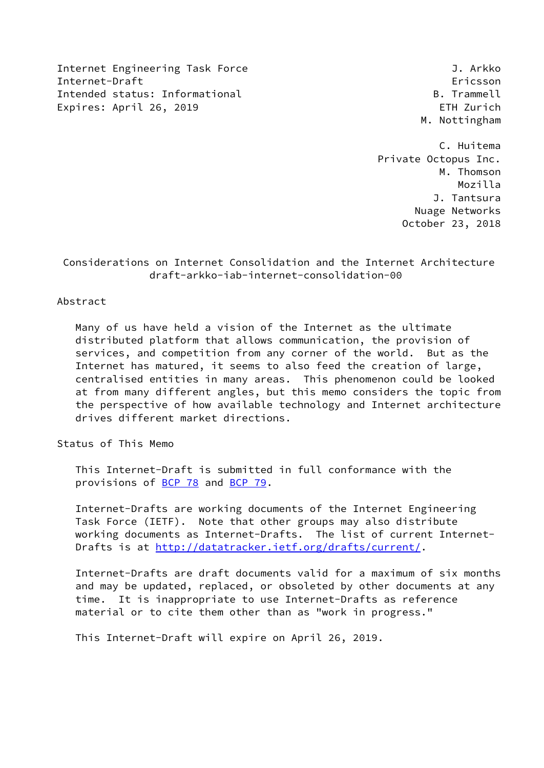Internet Engineering Task Force 3. Arkko Internet-Draft Ericsson Intended status: Informational B. Trammell Expires: April 26, 2019 **EXPIRE 2019** 

M. Nottingham

 C. Huitema Private Octopus Inc. M. Thomson Mozilla J. Tantsura Nuage Networks October 23, 2018

 Considerations on Internet Consolidation and the Internet Architecture draft-arkko-iab-internet-consolidation-00

# Abstract

 Many of us have held a vision of the Internet as the ultimate distributed platform that allows communication, the provision of services, and competition from any corner of the world. But as the Internet has matured, it seems to also feed the creation of large, centralised entities in many areas. This phenomenon could be looked at from many different angles, but this memo considers the topic from the perspective of how available technology and Internet architecture drives different market directions.

Status of This Memo

 This Internet-Draft is submitted in full conformance with the provisions of [BCP 78](https://datatracker.ietf.org/doc/pdf/bcp78) and [BCP 79](https://datatracker.ietf.org/doc/pdf/bcp79).

 Internet-Drafts are working documents of the Internet Engineering Task Force (IETF). Note that other groups may also distribute working documents as Internet-Drafts. The list of current Internet- Drafts is at<http://datatracker.ietf.org/drafts/current/>.

 Internet-Drafts are draft documents valid for a maximum of six months and may be updated, replaced, or obsoleted by other documents at any time. It is inappropriate to use Internet-Drafts as reference material or to cite them other than as "work in progress."

This Internet-Draft will expire on April 26, 2019.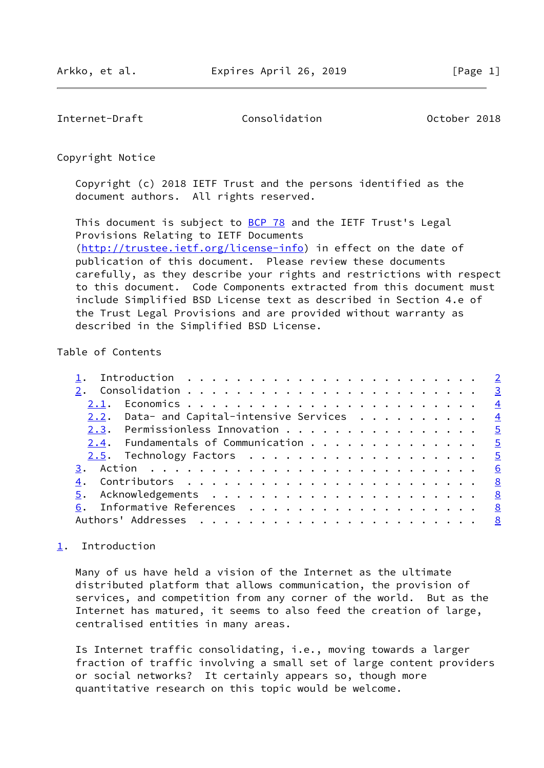<span id="page-1-1"></span>Internet-Draft Consolidation October 2018

Copyright Notice

 Copyright (c) 2018 IETF Trust and the persons identified as the document authors. All rights reserved.

This document is subject to **[BCP 78](https://datatracker.ietf.org/doc/pdf/bcp78)** and the IETF Trust's Legal Provisions Relating to IETF Documents [\(http://trustee.ietf.org/license-info](http://trustee.ietf.org/license-info)) in effect on the date of publication of this document. Please review these documents carefully, as they describe your rights and restrictions with respect to this document. Code Components extracted from this document must include Simplified BSD License text as described in Section 4.e of the Trust Legal Provisions and are provided without warranty as described in the Simplified BSD License.

### Table of Contents

|  | 2.2. Data- and Capital-intensive Services $\frac{4}{100}$ |  |  |  |  |  |  |  |  |  |  |  |
|--|-----------------------------------------------------------|--|--|--|--|--|--|--|--|--|--|--|
|  | 2.3. Permissionless Innovation 5                          |  |  |  |  |  |  |  |  |  |  |  |
|  | 2.4. Fundamentals of Communication 5                      |  |  |  |  |  |  |  |  |  |  |  |
|  | <u>2.5</u> . Technology Factors <u>5</u>                  |  |  |  |  |  |  |  |  |  |  |  |
|  |                                                           |  |  |  |  |  |  |  |  |  |  |  |
|  |                                                           |  |  |  |  |  |  |  |  |  |  |  |
|  |                                                           |  |  |  |  |  |  |  |  |  |  |  |
|  | 6. Informative References 8                               |  |  |  |  |  |  |  |  |  |  |  |
|  |                                                           |  |  |  |  |  |  |  |  |  |  |  |
|  |                                                           |  |  |  |  |  |  |  |  |  |  |  |

# <span id="page-1-0"></span>[1](#page-1-0). Introduction

 Many of us have held a vision of the Internet as the ultimate distributed platform that allows communication, the provision of services, and competition from any corner of the world. But as the Internet has matured, it seems to also feed the creation of large, centralised entities in many areas.

 Is Internet traffic consolidating, i.e., moving towards a larger fraction of traffic involving a small set of large content providers or social networks? It certainly appears so, though more quantitative research on this topic would be welcome.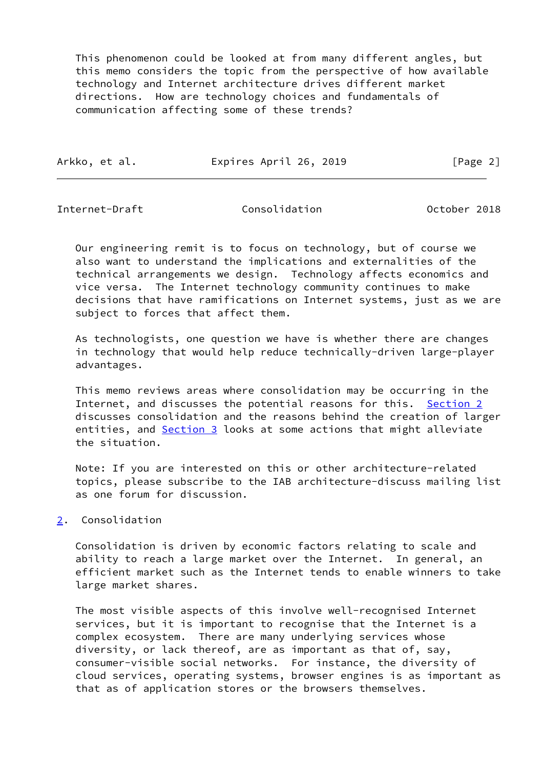This phenomenon could be looked at from many different angles, but this memo considers the topic from the perspective of how available technology and Internet architecture drives different market directions. How are technology choices and fundamentals of communication affecting some of these trends?

| Arkko, et al. | Expires April 26, 2019 | [Page 2] |
|---------------|------------------------|----------|
|               |                        |          |

<span id="page-2-1"></span>Internet-Draft Consolidation October 2018

 Our engineering remit is to focus on technology, but of course we also want to understand the implications and externalities of the technical arrangements we design. Technology affects economics and vice versa. The Internet technology community continues to make decisions that have ramifications on Internet systems, just as we are subject to forces that affect them.

 As technologists, one question we have is whether there are changes in technology that would help reduce technically-driven large-player advantages.

 This memo reviews areas where consolidation may be occurring in the Internet, and discusses the potential reasons for this. [Section 2](#page-2-0) discusses consolidation and the reasons behind the creation of larger entities, and **Section 3** looks at some actions that might alleviate the situation.

 Note: If you are interested on this or other architecture-related topics, please subscribe to the IAB architecture-discuss mailing list as one forum for discussion.

# <span id="page-2-0"></span>[2](#page-2-0). Consolidation

 Consolidation is driven by economic factors relating to scale and ability to reach a large market over the Internet. In general, an efficient market such as the Internet tends to enable winners to take large market shares.

 The most visible aspects of this involve well-recognised Internet services, but it is important to recognise that the Internet is a complex ecosystem. There are many underlying services whose diversity, or lack thereof, are as important as that of, say, consumer-visible social networks. For instance, the diversity of cloud services, operating systems, browser engines is as important as that as of application stores or the browsers themselves.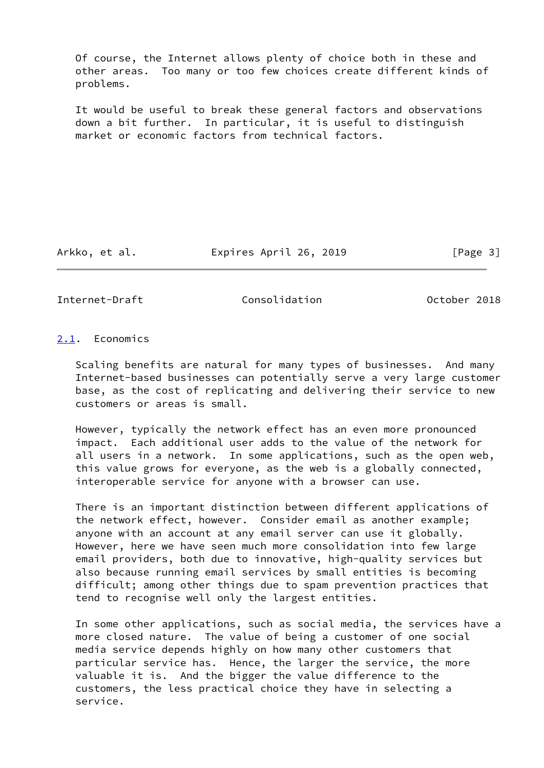Of course, the Internet allows plenty of choice both in these and other areas. Too many or too few choices create different kinds of problems.

 It would be useful to break these general factors and observations down a bit further. In particular, it is useful to distinguish market or economic factors from technical factors.

Arkko, et al. Expires April 26, 2019 [Page 3]

<span id="page-3-1"></span>Internet-Draft Consolidation Consolidation Consolidation Consolidation

<span id="page-3-0"></span>[2.1](#page-3-0). Economics

 Scaling benefits are natural for many types of businesses. And many Internet-based businesses can potentially serve a very large customer base, as the cost of replicating and delivering their service to new customers or areas is small.

 However, typically the network effect has an even more pronounced impact. Each additional user adds to the value of the network for all users in a network. In some applications, such as the open web, this value grows for everyone, as the web is a globally connected, interoperable service for anyone with a browser can use.

 There is an important distinction between different applications of the network effect, however. Consider email as another example; anyone with an account at any email server can use it globally. However, here we have seen much more consolidation into few large email providers, both due to innovative, high-quality services but also because running email services by small entities is becoming difficult; among other things due to spam prevention practices that tend to recognise well only the largest entities.

 In some other applications, such as social media, the services have a more closed nature. The value of being a customer of one social media service depends highly on how many other customers that particular service has. Hence, the larger the service, the more valuable it is. And the bigger the value difference to the customers, the less practical choice they have in selecting a service.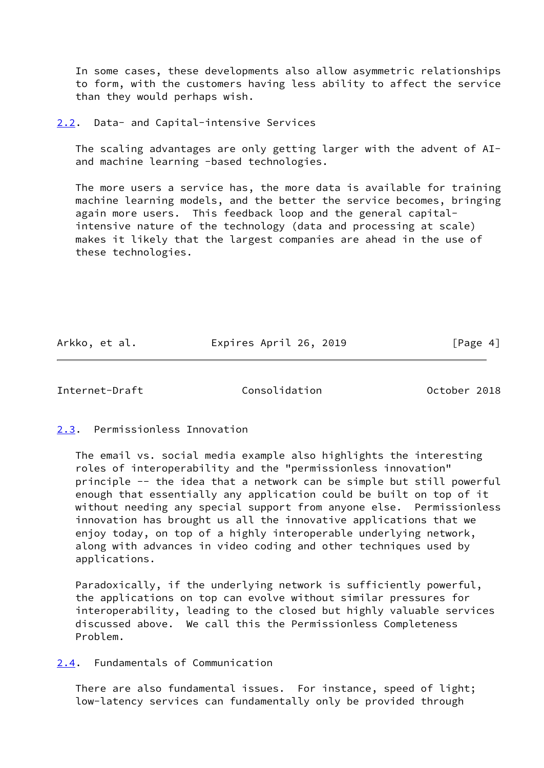In some cases, these developments also allow asymmetric relationships to form, with the customers having less ability to affect the service than they would perhaps wish.

<span id="page-4-0"></span>[2.2](#page-4-0). Data- and Capital-intensive Services

 The scaling advantages are only getting larger with the advent of AI and machine learning -based technologies.

The more users a service has, the more data is available for training machine learning models, and the better the service becomes, bringing again more users. This feedback loop and the general capital intensive nature of the technology (data and processing at scale) makes it likely that the largest companies are ahead in the use of these technologies.

Arkko, et al. Expires April 26, 2019 [Page 4]

<span id="page-4-2"></span>Internet-Draft Consolidation October 2018

<span id="page-4-1"></span>[2.3](#page-4-1). Permissionless Innovation

 The email vs. social media example also highlights the interesting roles of interoperability and the "permissionless innovation" principle -- the idea that a network can be simple but still powerful enough that essentially any application could be built on top of it without needing any special support from anyone else. Permissionless innovation has brought us all the innovative applications that we enjoy today, on top of a highly interoperable underlying network, along with advances in video coding and other techniques used by applications.

 Paradoxically, if the underlying network is sufficiently powerful, the applications on top can evolve without similar pressures for interoperability, leading to the closed but highly valuable services discussed above. We call this the Permissionless Completeness Problem.

<span id="page-4-3"></span>[2.4](#page-4-3). Fundamentals of Communication

 There are also fundamental issues. For instance, speed of light; low-latency services can fundamentally only be provided through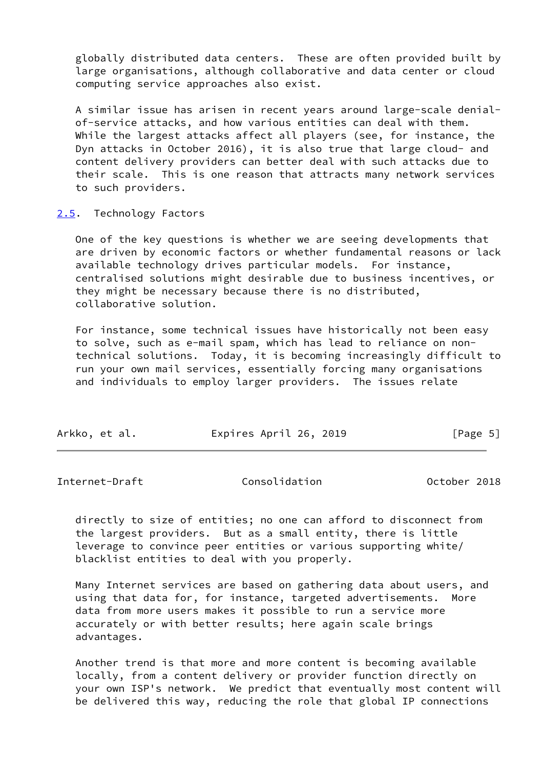globally distributed data centers. These are often provided built by large organisations, although collaborative and data center or cloud computing service approaches also exist.

 A similar issue has arisen in recent years around large-scale denial of-service attacks, and how various entities can deal with them. While the largest attacks affect all players (see, for instance, the Dyn attacks in October 2016), it is also true that large cloud- and content delivery providers can better deal with such attacks due to their scale. This is one reason that attracts many network services to such providers.

#### <span id="page-5-0"></span>[2.5](#page-5-0). Technology Factors

 One of the key questions is whether we are seeing developments that are driven by economic factors or whether fundamental reasons or lack available technology drives particular models. For instance, centralised solutions might desirable due to business incentives, or they might be necessary because there is no distributed, collaborative solution.

 For instance, some technical issues have historically not been easy to solve, such as e-mail spam, which has lead to reliance on non technical solutions. Today, it is becoming increasingly difficult to run your own mail services, essentially forcing many organisations and individuals to employ larger providers. The issues relate

| Expires April 26, 2019<br>Arkko, et al.<br>[Page 5] |  |
|-----------------------------------------------------|--|
|-----------------------------------------------------|--|

<span id="page-5-1"></span>Internet-Draft Consolidation October 2018

 directly to size of entities; no one can afford to disconnect from the largest providers. But as a small entity, there is little leverage to convince peer entities or various supporting white/ blacklist entities to deal with you properly.

 Many Internet services are based on gathering data about users, and using that data for, for instance, targeted advertisements. More data from more users makes it possible to run a service more accurately or with better results; here again scale brings advantages.

 Another trend is that more and more content is becoming available locally, from a content delivery or provider function directly on your own ISP's network. We predict that eventually most content will be delivered this way, reducing the role that global IP connections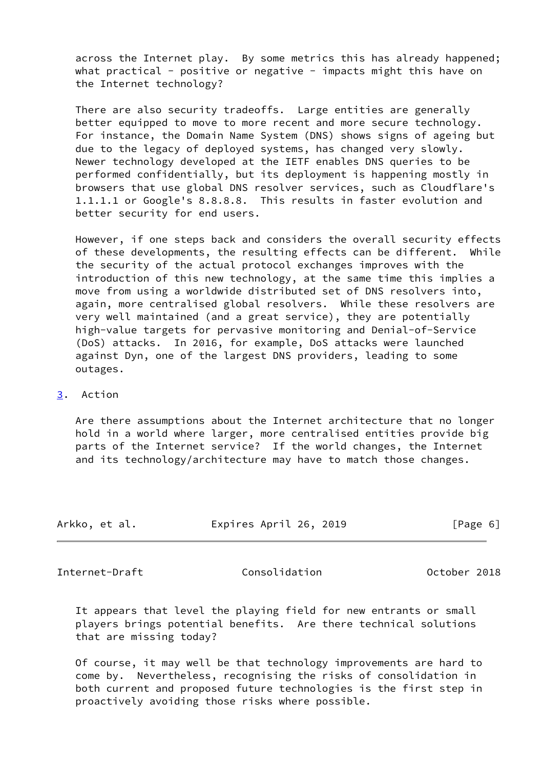across the Internet play. By some metrics this has already happened; what practical - positive or negative - impacts might this have on the Internet technology?

 There are also security tradeoffs. Large entities are generally better equipped to move to more recent and more secure technology. For instance, the Domain Name System (DNS) shows signs of ageing but due to the legacy of deployed systems, has changed very slowly. Newer technology developed at the IETF enables DNS queries to be performed confidentially, but its deployment is happening mostly in browsers that use global DNS resolver services, such as Cloudflare's 1.1.1.1 or Google's 8.8.8.8. This results in faster evolution and better security for end users.

 However, if one steps back and considers the overall security effects of these developments, the resulting effects can be different. While the security of the actual protocol exchanges improves with the introduction of this new technology, at the same time this implies a move from using a worldwide distributed set of DNS resolvers into, again, more centralised global resolvers. While these resolvers are very well maintained (and a great service), they are potentially high-value targets for pervasive monitoring and Denial-of-Service (DoS) attacks. In 2016, for example, DoS attacks were launched against Dyn, one of the largest DNS providers, leading to some outages.

### <span id="page-6-0"></span>[3](#page-6-0). Action

 Are there assumptions about the Internet architecture that no longer hold in a world where larger, more centralised entities provide big parts of the Internet service? If the world changes, the Internet and its technology/architecture may have to match those changes.

| Arkko, et al. | Expires April 26, 2019 | [Page 6] |
|---------------|------------------------|----------|
|               |                        |          |

Internet-Draft Consolidation October 2018

 It appears that level the playing field for new entrants or small players brings potential benefits. Are there technical solutions that are missing today?

 Of course, it may well be that technology improvements are hard to come by. Nevertheless, recognising the risks of consolidation in both current and proposed future technologies is the first step in proactively avoiding those risks where possible.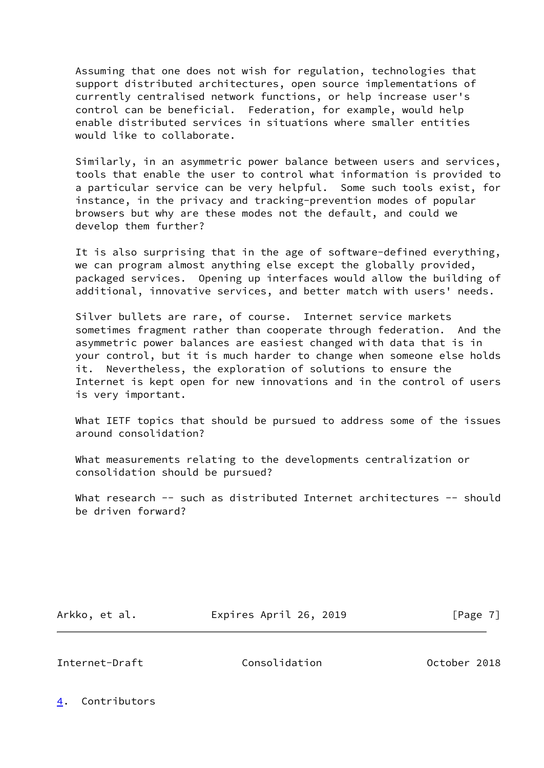Assuming that one does not wish for regulation, technologies that support distributed architectures, open source implementations of currently centralised network functions, or help increase user's control can be beneficial. Federation, for example, would help enable distributed services in situations where smaller entities would like to collaborate.

 Similarly, in an asymmetric power balance between users and services, tools that enable the user to control what information is provided to a particular service can be very helpful. Some such tools exist, for instance, in the privacy and tracking-prevention modes of popular browsers but why are these modes not the default, and could we develop them further?

 It is also surprising that in the age of software-defined everything, we can program almost anything else except the globally provided, packaged services. Opening up interfaces would allow the building of additional, innovative services, and better match with users' needs.

 Silver bullets are rare, of course. Internet service markets sometimes fragment rather than cooperate through federation. And the asymmetric power balances are easiest changed with data that is in your control, but it is much harder to change when someone else holds it. Nevertheless, the exploration of solutions to ensure the Internet is kept open for new innovations and in the control of users is very important.

 What IETF topics that should be pursued to address some of the issues around consolidation?

 What measurements relating to the developments centralization or consolidation should be pursued?

What research -- such as distributed Internet architectures -- should be driven forward?

Arkko, et al. **Expires April 26, 2019** [Page 7]

<span id="page-7-1"></span>Internet-Draft Consolidation October 2018

<span id="page-7-0"></span>[4](#page-7-0). Contributors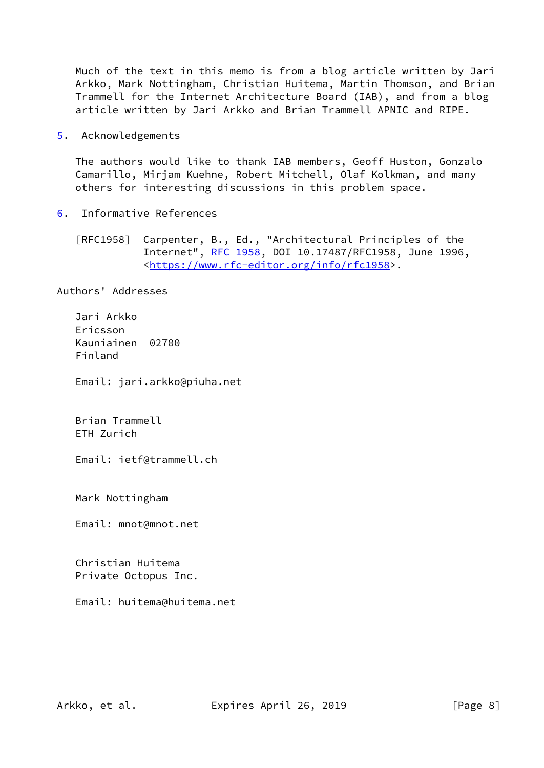Much of the text in this memo is from a blog article written by Jari Arkko, Mark Nottingham, Christian Huitema, Martin Thomson, and Brian Trammell for the Internet Architecture Board (IAB), and from a blog article written by Jari Arkko and Brian Trammell APNIC and RIPE.

<span id="page-8-0"></span>[5](#page-8-0). Acknowledgements

 The authors would like to thank IAB members, Geoff Huston, Gonzalo Camarillo, Mirjam Kuehne, Robert Mitchell, Olaf Kolkman, and many others for interesting discussions in this problem space.

<span id="page-8-1"></span>[6](#page-8-1). Informative References

 [RFC1958] Carpenter, B., Ed., "Architectural Principles of the Internet", [RFC 1958](https://datatracker.ietf.org/doc/pdf/rfc1958), DOI 10.17487/RFC1958, June 1996, <[https://www.rfc-editor.org/info/rfc1958>](https://www.rfc-editor.org/info/rfc1958).

Authors' Addresses

 Jari Arkko Ericsson Kauniainen 02700 Finland

Email: jari.arkko@piuha.net

 Brian Trammell ETH Zurich

Email: ietf@trammell.ch

Mark Nottingham

Email: mnot@mnot.net

 Christian Huitema Private Octopus Inc.

Email: huitema@huitema.net